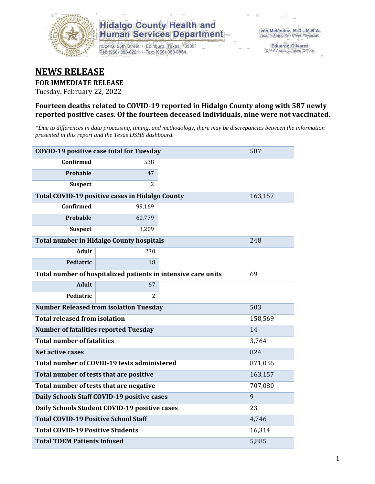

1304 S. 25th Street · Edinburg, Texas 78539 Tel: (956) 383-6221 · Fax: (956) 383-8864

**Eduardo Olivarez** Chief Administrative Officer

#### **NEWS RELEASE**

#### **FOR IMMEDIATE RELEASE**

Tuesday, February 22, 2022

#### **Fourteen deaths related to COVID-19 reported in Hidalgo County along with 587 newly reported positive cases. Of the fourteen deceased individuals, nine were not vaccinated.**

*\*Due to differences in data processing, timing, and methodology, there may be discrepancies between the information presented in this report and the Texas DSHS dashboard.*

| <b>COVID-19 positive case total for Tuesday</b> | 587                                                           |       |         |
|-------------------------------------------------|---------------------------------------------------------------|-------|---------|
| <b>Confirmed</b>                                | 538                                                           |       |         |
| Probable                                        | 47                                                            |       |         |
| <b>Suspect</b>                                  | 2                                                             |       |         |
|                                                 | <b>Total COVID-19 positive cases in Hidalgo County</b>        |       | 163,157 |
| <b>Confirmed</b>                                | 99,169                                                        |       |         |
| Probable                                        | 60,779                                                        |       |         |
| <b>Suspect</b>                                  | 3,209                                                         |       |         |
|                                                 | <b>Total number in Hidalgo County hospitals</b>               |       | 248     |
| <b>Adult</b>                                    | 230                                                           |       |         |
| Pediatric                                       | 18                                                            |       |         |
|                                                 | Total number of hospitalized patients in intensive care units | 69    |         |
| <b>Adult</b>                                    | 67                                                            |       |         |
| Pediatric                                       | $\mathcal{L}$                                                 |       |         |
|                                                 | <b>Number Released from isolation Tuesday</b>                 |       | 503     |
| <b>Total released from isolation</b>            |                                                               |       | 158,569 |
| <b>Number of fatalities reported Tuesday</b>    |                                                               |       | 14      |
| <b>Total number of fatalities</b>               |                                                               |       | 3,764   |
| <b>Net active cases</b>                         |                                                               |       | 824     |
|                                                 | Total number of COVID-19 tests administered                   |       | 871,036 |
| Total number of tests that are positive         |                                                               |       | 163,157 |
| Total number of tests that are negative         |                                                               |       | 707,080 |
|                                                 | Daily Schools Staff COVID-19 positive cases                   |       | 9       |
|                                                 | Daily Schools Student COVID-19 positive cases                 |       | 23      |
| <b>Total COVID-19 Positive School Staff</b>     |                                                               |       | 4,746   |
| <b>Total COVID-19 Positive Students</b>         |                                                               |       | 16,314  |
| <b>Total TDEM Patients Infused</b>              |                                                               | 5,885 |         |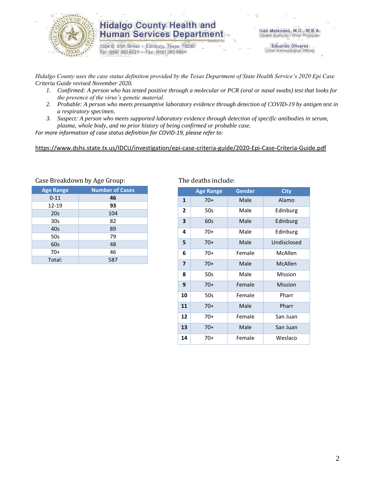

1304 S. 25th Street · Edinburg, Texas 78539 Tel: (956) 383-6221 · Fax: (956) 383-8864

**Eduardo Olivarez** Chief Administrative Officer

*Hidalgo County uses the case status definition provided by the Texas Department of State Health Service's 2020 Epi Case Criteria Guide revised November 2020.*

- *1. Confirmed: A person who has tested positive through a molecular or PCR (oral or nasal swabs) test that looks for the presence of the virus's genetic material.*
- *2. Probable: A person who meets presumptive laboratory evidence through detection of COVID-19 by antigen test in a respiratory specimen.*
- *3. Suspect: A person who meets supported laboratory evidence through detection of specific antibodies in serum, plasma, whole body, and no prior history of being confirmed or probable case.*

*For more information of case status definition for COVID-19, please refer to:*

<https://www.dshs.state.tx.us/IDCU/investigation/epi-case-criteria-guide/2020-Epi-Case-Criteria-Guide.pdf>

| <b>Age Range</b> | <b>Number of Cases</b> |
|------------------|------------------------|
| $0 - 11$         | 46                     |
| 12-19            | 93                     |
| 20s              | 104                    |
| 30 <sub>s</sub>  | 82                     |
| 40s              | 89                     |
| 50s              | 79                     |
| 60s              | 48                     |
| $70+$            | 46                     |
| Total:           | 587                    |

#### Case Breakdown by Age Group: The deaths include:

|                         | <b>Age Range</b> | <b>Gender</b> | <b>City</b> |
|-------------------------|------------------|---------------|-------------|
| 1                       | $70+$            | Male          | Alamo       |
| 2                       | 50s              | Male          | Edinburg    |
| 3                       | 60s              | Male          | Edinburg    |
| 4                       | 70+              | Male          | Edinburg    |
| 5                       | $70+$            | Male          | Undisclosed |
| 6                       | 70+              | Female        | McAllen     |
| $\overline{\mathbf{z}}$ | $70+$            | Male          | McAllen     |
| 8                       | 50s              | Male          | Mission     |
| 9                       | $70+$            | Female        | Mission     |
| 10                      | 50s              | Female        | Pharr       |
| 11                      | $70+$            | Male          | Pharr       |
| 12                      | $70+$            | Female        | San Juan    |
| 13                      | $70+$            | Male          | San Juan    |
| 14                      | $70+$            | Female        | Weslaco     |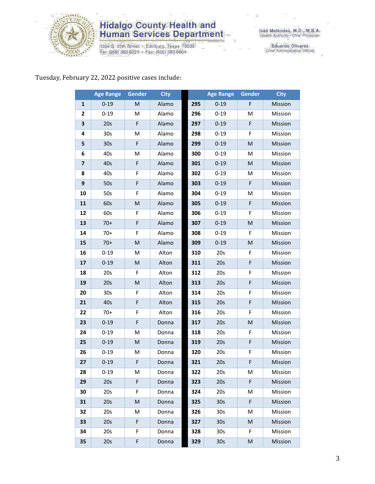

1304 S. 25th Street • Edinburg, Texas 78539<br>Tel: (956) 383-6221 • Fax: (956) 383-8864

Iván Meléndez, M.D., M.B.A.<br>Health Authority / Chief Physician

Eduardo Olivarez<br>Chief Administrative Officer

#### Tuesday, February 22, 2022 positive cases include:

|                         | <b>Age Range</b> | <b>Gender</b> | <b>City</b> |     | <b>Age Range</b> | <b>Gender</b> | <b>City</b> |
|-------------------------|------------------|---------------|-------------|-----|------------------|---------------|-------------|
| $\mathbf{1}$            | $0 - 19$         | M             | Alamo       | 295 | $0 - 19$         | F             | Mission     |
| 2                       | $0 - 19$         | M             | Alamo       | 296 | $0 - 19$         | M             | Mission     |
| 3                       | 20s              | F             | Alamo       | 297 | $0 - 19$         | F             | Mission     |
| 4                       | 30 <sub>s</sub>  | M             | Alamo       | 298 | $0 - 19$         | F             | Mission     |
| 5                       | 30 <sub>s</sub>  | $\mathsf F$   | Alamo       | 299 | $0 - 19$         | M             | Mission     |
| 6                       | 40s              | M             | Alamo       | 300 | $0 - 19$         | M             | Mission     |
| $\overline{\mathbf{z}}$ | 40s              | F             | Alamo       | 301 | $0 - 19$         | M             | Mission     |
| 8                       | 40s              | F             | Alamo       | 302 | $0 - 19$         | M             | Mission     |
| 9                       | 50s              | F             | Alamo       | 303 | $0 - 19$         | F             | Mission     |
| 10                      | 50s              | F             | Alamo       | 304 | $0 - 19$         | M             | Mission     |
| 11                      | 60s              | ${\sf M}$     | Alamo       | 305 | $0 - 19$         | F             | Mission     |
| 12                      | 60s              | F             | Alamo       | 306 | $0 - 19$         | F             | Mission     |
| 13                      | $70+$            | F             | Alamo       | 307 | $0 - 19$         | M             | Mission     |
| 14                      | $70+$            | F             | Alamo       | 308 | $0 - 19$         | F             | Mission     |
| 15                      | $70+$            | M             | Alamo       | 309 | $0 - 19$         | M             | Mission     |
| 16                      | $0 - 19$         | M             | Alton       | 310 | 20s              | F             | Mission     |
| 17                      | $0 - 19$         | ${\sf M}$     | Alton       | 311 | 20s              | F             | Mission     |
| 18                      | 20s              | F             | Alton       | 312 | 20s              | F             | Mission     |
| 19                      | 20s              | M             | Alton       | 313 | 20s              | F             | Mission     |
| 20                      | 30s              | F             | Alton       | 314 | 20s              | F             | Mission     |
| 21                      | 40s              | F             | Alton       | 315 | 20s              | F             | Mission     |
| 22                      | $70+$            | F             | Alton       | 316 | 20s              | F             | Mission     |
| 23                      | $0 - 19$         | F             | Donna       | 317 | 20s              | M             | Mission     |
| 24                      | $0 - 19$         | M             | Donna       | 318 | 20s              | F             | Mission     |
| 25                      | $0 - 19$         | M             | Donna       | 319 | 20s              | F             | Mission     |
| 26                      | $0 - 19$         | M             | Donna       | 320 | 20s              | F             | Mission     |
| 27                      | $0 - 19$         | F             | Donna       | 321 | 20s              | F             | Mission     |
| 28                      | $0 - 19$         | M             | Donna       | 322 | 20s              | M             | Mission     |
| 29                      | 20s              | F             | Donna       | 323 | 20s              | F             | Mission     |
| 30                      | 20s              | F             | Donna       | 324 | 20s              | M             | Mission     |
| 31                      | 20s              | M             | Donna       | 325 | 30 <sub>s</sub>  | F             | Mission     |
| 32                      | 20s              | M             | Donna       | 326 | 30 <sub>s</sub>  | M             | Mission     |
| 33                      | 20s              | F             | Donna       | 327 | 30 <sub>s</sub>  | M             | Mission     |
| 34                      | 20s              | F             | Donna       | 328 | 30 <sub>s</sub>  | F.            | Mission     |
| 35                      | 20s              | F             | Donna       | 329 | 30 <sub>s</sub>  | M             | Mission     |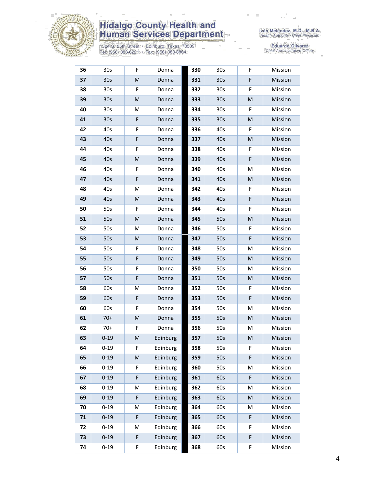

1304 S. 25th Street • Edinburg, Texas 78539<br>Tel: (956) 383-6221 • Fax: (956) 383-8864

| 36 | 30s             | F | Donna    | 330 | 30s             | F | Mission |
|----|-----------------|---|----------|-----|-----------------|---|---------|
| 37 | 30 <sub>s</sub> | M | Donna    | 331 | 30 <sub>s</sub> | F | Mission |
| 38 | 30 <sub>s</sub> | F | Donna    | 332 | 30 <sub>s</sub> | F | Mission |
| 39 | 30 <sub>s</sub> | M | Donna    | 333 | 30 <sub>s</sub> | M | Mission |
| 40 | 30 <sub>s</sub> | Μ | Donna    | 334 | 30s             | F | Mission |
| 41 | 30 <sub>s</sub> | F | Donna    | 335 | 30 <sub>s</sub> | M | Mission |
| 42 | 40s             | F | Donna    | 336 | 40s             | F | Mission |
| 43 | 40s             | F | Donna    | 337 | 40s             | M | Mission |
| 44 | 40s             | F | Donna    | 338 | 40s             | F | Mission |
| 45 | 40s             | M | Donna    | 339 | 40s             | F | Mission |
| 46 | 40s             | F | Donna    | 340 | 40s             | M | Mission |
| 47 | 40s             | F | Donna    | 341 | 40s             | M | Mission |
| 48 | 40s             | M | Donna    | 342 | 40s             | F | Mission |
| 49 | 40s             | M | Donna    | 343 | 40s             | F | Mission |
| 50 | 50s             | F | Donna    | 344 | 40s             | F | Mission |
| 51 | 50s             | M | Donna    | 345 | 50s             | M | Mission |
| 52 | 50s             | М | Donna    | 346 | 50s             | F | Mission |
| 53 | 50s             | M | Donna    | 347 | 50s             | F | Mission |
| 54 | 50s             | F | Donna    | 348 | 50s             | M | Mission |
| 55 | 50s             | F | Donna    | 349 | 50s             | M | Mission |
| 56 | 50s             | F | Donna    | 350 | 50s             | м | Mission |
| 57 | 50s             | F | Donna    | 351 | 50s             | M | Mission |
| 58 | 60s             | M | Donna    | 352 | 50s             | F | Mission |
| 59 | 60s             | F | Donna    | 353 | 50s             | F | Mission |
| 60 | 60s             | F | Donna    | 354 | 50s             | M | Mission |
| 61 | $70+$           | M | Donna    | 355 | 50s             | M | Mission |
| 62 | $70+$           | F | Donna    | 356 | 50s             | м | Mission |
| 63 | $0 - 19$        | M | Edinburg | 357 | 50s             | M | Mission |
| 64 | $0 - 19$        | F | Edinburg | 358 | 50s             | F | Mission |
| 65 | $0 - 19$        | M | Edinburg | 359 | 50s             | F | Mission |
| 66 | $0 - 19$        | F | Edinburg | 360 | 50s             | M | Mission |
| 67 | $0 - 19$        | F | Edinburg | 361 | 60s             | F | Mission |
| 68 | $0 - 19$        | M | Edinburg | 362 | 60s             | м | Mission |
| 69 | $0 - 19$        | F | Edinburg | 363 | 60s             | M | Mission |
| 70 | $0 - 19$        | M | Edinburg | 364 | 60s             | M | Mission |
| 71 | $0 - 19$        | F | Edinburg | 365 | 60s             | F | Mission |
| 72 | $0 - 19$        | M | Edinburg | 366 | 60s             | F | Mission |
| 73 | $0 - 19$        | F | Edinburg | 367 | 60s             | F | Mission |
| 74 | $0 - 19$        | F | Edinburg | 368 | 60s             | F | Mission |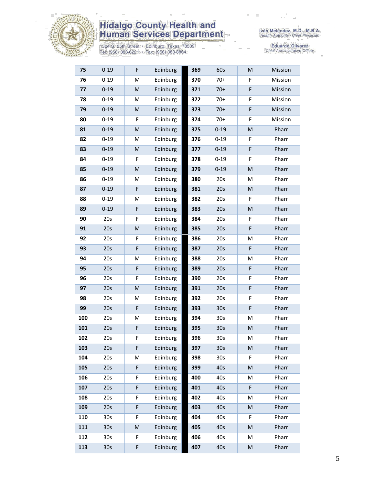

1304 S. 25th Street • Edinburg, Texas 78539<br>Tel: (956) 383-6221 • Fax: (956) 383-8864

| 75  | $0 - 19$        | F           | Edinburg | 369 | 60s             | M         | Mission |
|-----|-----------------|-------------|----------|-----|-----------------|-----------|---------|
| 76  | $0 - 19$        | M           | Edinburg | 370 | $70+$           | F         | Mission |
| 77  | $0 - 19$        | M           | Edinburg | 371 | $70+$           | F         | Mission |
| 78  | $0 - 19$        | M           | Edinburg | 372 | $70+$           | F         | Mission |
| 79  | $0 - 19$        | ${\sf M}$   | Edinburg | 373 | $70+$           | F         | Mission |
| 80  | $0 - 19$        | F           | Edinburg | 374 | $70+$           | F         | Mission |
| 81  | $0 - 19$        | ${\sf M}$   | Edinburg | 375 | $0 - 19$        | M         | Pharr   |
| 82  | $0 - 19$        | M           | Edinburg | 376 | $0 - 19$        | F         | Pharr   |
| 83  | $0 - 19$        | M           | Edinburg | 377 | $0 - 19$        | F         | Pharr   |
| 84  | $0 - 19$        | F           | Edinburg | 378 | $0 - 19$        | F         | Pharr   |
| 85  | $0 - 19$        | ${\sf M}$   | Edinburg | 379 | $0 - 19$        | M         | Pharr   |
| 86  | $0 - 19$        | M           | Edinburg | 380 | 20s             | M         | Pharr   |
| 87  | $0 - 19$        | F           | Edinburg | 381 | 20s             | M         | Pharr   |
| 88  | $0 - 19$        | M           | Edinburg | 382 | 20s             | F         | Pharr   |
| 89  | $0 - 19$        | F           | Edinburg | 383 | 20s             | M         | Pharr   |
| 90  | 20s             | F           | Edinburg | 384 | 20s             | F         | Pharr   |
| 91  | 20s             | M           | Edinburg | 385 | 20s             | F         | Pharr   |
| 92  | 20s             | F           | Edinburg | 386 | 20s             | M         | Pharr   |
| 93  | 20s             | F           | Edinburg | 387 | 20s             | F         | Pharr   |
| 94  | 20s             | M           | Edinburg | 388 | 20s             | M         | Pharr   |
| 95  | 20s             | F           | Edinburg | 389 | 20s             | F         | Pharr   |
| 96  | 20s             | F           | Edinburg | 390 | 20s             | F         | Pharr   |
| 97  | 20s             | ${\sf M}$   | Edinburg | 391 | 20s             | F         | Pharr   |
| 98  | 20s             | M           | Edinburg | 392 | 20s             | F         | Pharr   |
| 99  | 20s             | F           | Edinburg | 393 | 30 <sub>s</sub> | F         | Pharr   |
| 100 | 20s             | M           | Edinburg | 394 | 30s             | M         | Pharr   |
| 101 | 20s             | F           | Edinburg | 395 | 30 <sub>s</sub> | M         | Pharr   |
| 102 | 20s             | F           | Edinburg | 396 | 30s             | M         | Pharr   |
| 103 | 20s             | F           | Edinburg | 397 | 30 <sub>s</sub> | M         | Pharr   |
| 104 | 20s             | M           | Edinburg | 398 | 30 <sub>s</sub> | F         | Pharr   |
| 105 | 20s             | $\mathsf F$ | Edinburg | 399 | 40s             | M         | Pharr   |
| 106 | 20s             | F           | Edinburg | 400 | 40s             | м         | Pharr   |
| 107 | 20s             | F           | Edinburg | 401 | 40s             | F         | Pharr   |
| 108 | 20s             | F           | Edinburg | 402 | 40s             | M         | Pharr   |
| 109 | 20s             | F           | Edinburg | 403 | 40s             | M         | Pharr   |
| 110 | 30s             | F           | Edinburg | 404 | 40s             | F         | Pharr   |
| 111 | 30 <sub>s</sub> | ${\sf M}$   | Edinburg | 405 | 40s             | M         | Pharr   |
| 112 | 30 <sub>s</sub> | F           | Edinburg | 406 | 40s             | M         | Pharr   |
| 113 | 30s             | F           | Edinburg | 407 | 40s             | ${\sf M}$ | Pharr   |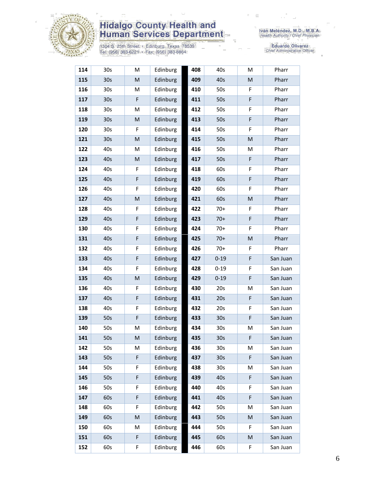

1304 S. 25th Street • Edinburg, Texas 78539<br>Tel: (956) 383-6221 • Fax: (956) 383-8864

| 114 | 30s             | M         | Edinburg | 408 | 40s             | M         | Pharr    |
|-----|-----------------|-----------|----------|-----|-----------------|-----------|----------|
| 115 | 30 <sub>s</sub> | ${\sf M}$ | Edinburg | 409 | 40s             | M         | Pharr    |
| 116 | 30s             | M         | Edinburg | 410 | 50s             | F         | Pharr    |
| 117 | 30 <sub>s</sub> | F         | Edinburg | 411 | 50s             | F         | Pharr    |
| 118 | 30 <sub>s</sub> | M         | Edinburg | 412 | 50s             | F         | Pharr    |
| 119 | 30s             | M         | Edinburg | 413 | 50s             | F         | Pharr    |
| 120 | 30 <sub>s</sub> | F         | Edinburg | 414 | 50s             | F         | Pharr    |
| 121 | 30 <sub>s</sub> | M         | Edinburg | 415 | 50s             | ${\sf M}$ | Pharr    |
| 122 | 40s             | M         | Edinburg | 416 | 50s             | М         | Pharr    |
| 123 | 40s             | ${\sf M}$ | Edinburg | 417 | 50s             | F         | Pharr    |
| 124 | 40s             | F         | Edinburg | 418 | 60s             | F         | Pharr    |
| 125 | 40s             | F         | Edinburg | 419 | 60s             | F         | Pharr    |
| 126 | 40s             | F         | Edinburg | 420 | 60s             | F         | Pharr    |
| 127 | 40s             | M         | Edinburg | 421 | 60s             | M         | Pharr    |
| 128 | 40s             | F         | Edinburg | 422 | $70+$           | F         | Pharr    |
| 129 | 40s             | F         | Edinburg | 423 | $70+$           | F         | Pharr    |
| 130 | 40s             | F         | Edinburg | 424 | $70+$           | F         | Pharr    |
| 131 | 40s             | F         | Edinburg | 425 | $70+$           | M         | Pharr    |
| 132 | 40s             | F         | Edinburg | 426 | $70+$           | F         | Pharr    |
| 133 | 40s             | F         | Edinburg | 427 | $0 - 19$        | F         | San Juan |
| 134 | 40s             | F         | Edinburg | 428 | $0 - 19$        | F         | San Juan |
| 135 | 40s             | M         | Edinburg | 429 | $0 - 19$        | F         | San Juan |
| 136 | 40s             | F         | Edinburg | 430 | 20s             | M         | San Juan |
| 137 | 40s             | F         | Edinburg | 431 | 20s             | F         | San Juan |
| 138 | 40s             | F         | Edinburg | 432 | 20s             | F         | San Juan |
| 139 | 50s             | F         | Edinburg | 433 | 30 <sub>s</sub> | F         | San Juan |
| 140 | 50s             | M         | Edinburg | 434 | 30 <sub>s</sub> | M         | San Juan |
| 141 | 50s             | M         | Edinburg | 435 | 30 <sub>s</sub> | F         | San Juan |
| 142 | 50s             | М         | Edinburg | 436 | 30s             | M         | San Juan |
| 143 | 50s             | F         | Edinburg | 437 | 30 <sub>s</sub> | F         | San Juan |
| 144 | 50s             | F         | Edinburg | 438 | 30s             | M         | San Juan |
| 145 | 50s             | F         | Edinburg | 439 | 40s             | F         | San Juan |
| 146 | 50s             | F         | Edinburg | 440 | 40s             | F         | San Juan |
| 147 | 60s             | F         | Edinburg | 441 | 40s             | F         | San Juan |
| 148 | 60s             | F         | Edinburg | 442 | 50s             | M         | San Juan |
| 149 | 60s             | M         | Edinburg | 443 | 50s             | M         | San Juan |
| 150 | 60s             | М         | Edinburg | 444 | 50s             | F         | San Juan |
| 151 | 60s             | F         | Edinburg | 445 | 60s             | M         | San Juan |
| 152 | 60s             | F         | Edinburg | 446 | 60s             | F         | San Juan |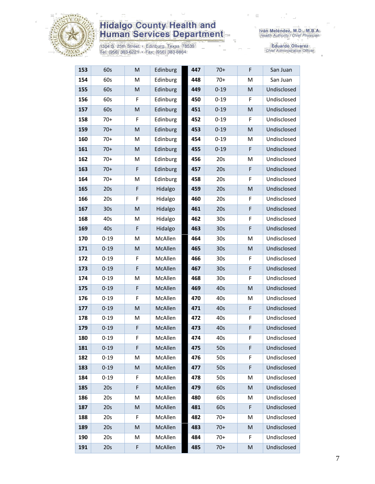

1304 S. 25th Street • Edinburg, Texas 78539<br>Tel: (956) 383-6221 • Fax: (956) 383-8864

| 153 | 60s             | M           | Edinburg | 447 | $70+$           | F | San Juan    |
|-----|-----------------|-------------|----------|-----|-----------------|---|-------------|
| 154 | 60s             | M           | Edinburg | 448 | $70+$           | M | San Juan    |
| 155 | 60s             | M           | Edinburg | 449 | $0 - 19$        | M | Undisclosed |
| 156 | 60s             | F           | Edinburg | 450 | $0 - 19$        | F | Undisclosed |
| 157 | 60s             | M           | Edinburg | 451 | $0 - 19$        | M | Undisclosed |
| 158 | $70+$           | F           | Edinburg | 452 | $0 - 19$        | F | Undisclosed |
| 159 | $70+$           | ${\sf M}$   | Edinburg | 453 | $0 - 19$        | M | Undisclosed |
| 160 | $70+$           | M           | Edinburg | 454 | $0 - 19$        | M | Undisclosed |
| 161 | $70+$           | M           | Edinburg | 455 | $0 - 19$        | F | Undisclosed |
| 162 | $70+$           | M           | Edinburg | 456 | 20s             | M | Undisclosed |
| 163 | $70+$           | F           | Edinburg | 457 | 20s             | F | Undisclosed |
| 164 | $70+$           | M           | Edinburg | 458 | 20s             | F | Undisclosed |
| 165 | 20s             | $\mathsf F$ | Hidalgo  | 459 | 20s             | M | Undisclosed |
| 166 | 20s             | F           | Hidalgo  | 460 | 20s             | F | Undisclosed |
| 167 | 30 <sub>s</sub> | ${\sf M}$   | Hidalgo  | 461 | 20s             | F | Undisclosed |
| 168 | 40s             | M           | Hidalgo  | 462 | 30 <sub>s</sub> | F | Undisclosed |
| 169 | 40s             | $\mathsf F$ | Hidalgo  | 463 | 30 <sub>s</sub> | F | Undisclosed |
| 170 | $0 - 19$        | M           | McAllen  | 464 | 30 <sub>s</sub> | M | Undisclosed |
| 171 | $0 - 19$        | M           | McAllen  | 465 | 30 <sub>s</sub> | M | Undisclosed |
| 172 | $0 - 19$        | F           | McAllen  | 466 | 30 <sub>s</sub> | F | Undisclosed |
| 173 | $0 - 19$        | F           | McAllen  | 467 | 30 <sub>s</sub> | F | Undisclosed |
| 174 | $0 - 19$        | M           | McAllen  | 468 | 30s             | F | Undisclosed |
| 175 | $0 - 19$        | F           | McAllen  | 469 | 40s             | M | Undisclosed |
| 176 | $0 - 19$        | F           | McAllen  | 470 | 40s             | M | Undisclosed |
| 177 | $0 - 19$        | M           | McAllen  | 471 | 40s             | F | Undisclosed |
| 178 | $0 - 19$        | M           | McAllen  | 472 | 40s             | F | Undisclosed |
| 179 | $0 - 19$        | F           | McAllen  | 473 | 40s             | F | Undisclosed |
| 180 | $0 - 19$        | F           | McAllen  | 474 | 40s             | F | Undisclosed |
| 181 | $0 - 19$        | F           | McAllen  | 475 | 50s             | F | Undisclosed |
| 182 | $0 - 19$        | M           | McAllen  | 476 | 50s             | F | Undisclosed |
| 183 | $0 - 19$        | M           | McAllen  | 477 | 50s             | F | Undisclosed |
| 184 | $0 - 19$        | F           | McAllen  | 478 | 50s             | M | Undisclosed |
| 185 | 20s             | F           | McAllen  | 479 | 60s             | M | Undisclosed |
| 186 | 20s             | M           | McAllen  | 480 | 60s             | M | Undisclosed |
| 187 | 20s             | M           | McAllen  | 481 | 60s             | F | Undisclosed |
| 188 | 20s             | F           | McAllen  | 482 | $70+$           | M | Undisclosed |
| 189 | 20s             | ${\sf M}$   | McAllen  | 483 | $70+$           | M | Undisclosed |
| 190 | 20s             | M           | McAllen  | 484 | $70+$           | F | Undisclosed |
| 191 | 20s             | F           | McAllen  | 485 | $70+$           | M | Undisclosed |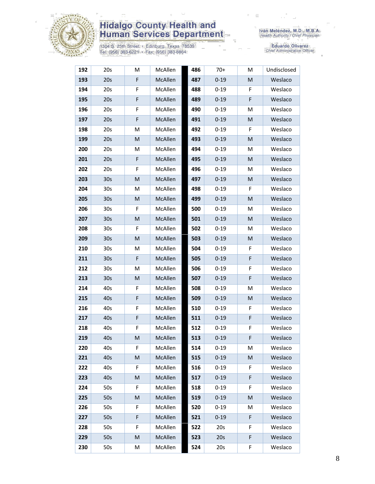

1304 S. 25th Street • Edinburg, Texas 78539<br>Tel: (956) 383-6221 • Fax: (956) 383-8864

| 192 | 20s             | М | McAllen | 486 | $70+$    | M  | Undisclosed |
|-----|-----------------|---|---------|-----|----------|----|-------------|
| 193 | 20s             | F | McAllen | 487 | $0 - 19$ | M  | Weslaco     |
| 194 | 20s             | F | McAllen | 488 | $0 - 19$ | F  | Weslaco     |
| 195 | 20s             | F | McAllen | 489 | $0 - 19$ | F  | Weslaco     |
| 196 | 20s             | F | McAllen | 490 | $0 - 19$ | M  | Weslaco     |
| 197 | 20s             | F | McAllen | 491 | $0 - 19$ | M  | Weslaco     |
| 198 | 20s             | М | McAllen | 492 | $0 - 19$ | F  | Weslaco     |
| 199 | 20s             | M | McAllen | 493 | $0 - 19$ | M  | Weslaco     |
| 200 | 20s             | M | McAllen | 494 | $0 - 19$ | M  | Weslaco     |
| 201 | 20s             | F | McAllen | 495 | $0 - 19$ | M  | Weslaco     |
| 202 | 20s             | F | McAllen | 496 | $0 - 19$ | M  | Weslaco     |
| 203 | 30 <sub>s</sub> | M | McAllen | 497 | $0 - 19$ | M  | Weslaco     |
| 204 | 30 <sub>s</sub> | М | McAllen | 498 | $0 - 19$ | F  | Weslaco     |
| 205 | 30 <sub>s</sub> | M | McAllen | 499 | $0 - 19$ | M  | Weslaco     |
| 206 | 30 <sub>s</sub> | F | McAllen | 500 | $0 - 19$ | M  | Weslaco     |
| 207 | 30 <sub>s</sub> | M | McAllen | 501 | $0 - 19$ | M  | Weslaco     |
| 208 | 30 <sub>s</sub> | F | McAllen | 502 | $0 - 19$ | M  | Weslaco     |
| 209 | 30 <sub>s</sub> | M | McAllen | 503 | $0 - 19$ | M  | Weslaco     |
| 210 | 30 <sub>s</sub> | M | McAllen | 504 | $0 - 19$ | F  | Weslaco     |
| 211 | 30 <sub>s</sub> | F | McAllen | 505 | $0 - 19$ | F  | Weslaco     |
| 212 | 30 <sub>s</sub> | M | McAllen | 506 | $0 - 19$ | F  | Weslaco     |
| 213 | 30 <sub>s</sub> | M | McAllen | 507 | $0 - 19$ | F  | Weslaco     |
| 214 | 40s             | F | McAllen | 508 | $0 - 19$ | M  | Weslaco     |
| 215 | 40s             | F | McAllen | 509 | $0 - 19$ | M  | Weslaco     |
| 216 | 40s             | F | McAllen | 510 | $0 - 19$ | F  | Weslaco     |
| 217 | 40s             | F | McAllen | 511 | $0 - 19$ | F  | Weslaco     |
| 218 | 40s             | F | McAllen | 512 | $0 - 19$ | F  | Weslaco     |
| 219 | 40s             | M | McAllen | 513 | $0 - 19$ | F  | Weslaco     |
| 220 | 40s             | F | McAllen | 514 | $0 - 19$ | M  | Weslaco     |
| 221 | 40s             | M | McAllen | 515 | $0 - 19$ | M  | Weslaco     |
| 222 | 40s             | F | McAllen | 516 | $0 - 19$ | F. | Weslaco     |
| 223 | 40s             | M | McAllen | 517 | $0 - 19$ | F  | Weslaco     |
| 224 | 50s             | F | McAllen | 518 | $0 - 19$ | F  | Weslaco     |
| 225 | 50s             | M | McAllen | 519 | $0 - 19$ | M  | Weslaco     |
| 226 | 50s             | F | McAllen | 520 | $0 - 19$ | M  | Weslaco     |
| 227 | 50s             | F | McAllen | 521 | $0 - 19$ | F  | Weslaco     |
| 228 | 50s             | F | McAllen | 522 | 20s      | F  | Weslaco     |
| 229 | 50s             | M | McAllen | 523 | 20s      | F  | Weslaco     |
| 230 | 50s             | Μ | McAllen | 524 | 20s      | F  | Weslaco     |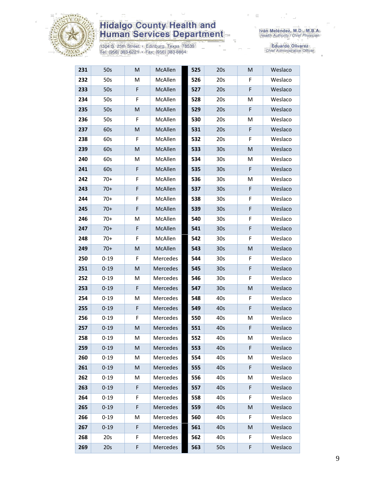

1304 S. 25th Street · Edinburg, Texas 78539<br>Tel: (956) 383-6221 · Fax: (956) 383-8864

| 231 | 50s      | ${\sf M}$   | McAllen  | 525 | 20s             | M | Weslaco |
|-----|----------|-------------|----------|-----|-----------------|---|---------|
| 232 | 50s      | M           | McAllen  | 526 | 20s             | F | Weslaco |
| 233 | 50s      | $\mathsf F$ | McAllen  | 527 | 20s             | F | Weslaco |
| 234 | 50s      | F           | McAllen  | 528 | 20s             | M | Weslaco |
| 235 | 50s      | M           | McAllen  | 529 | 20s             | F | Weslaco |
| 236 | 50s      | F           | McAllen  | 530 | 20s             | M | Weslaco |
| 237 | 60s      | M           | McAllen  | 531 | 20s             | F | Weslaco |
| 238 | 60s      | F           | McAllen  | 532 | 20s             | F | Weslaco |
| 239 | 60s      | M           | McAllen  | 533 | 30 <sub>s</sub> | M | Weslaco |
| 240 | 60s      | M           | McAllen  | 534 | 30 <sub>s</sub> | M | Weslaco |
| 241 | 60s      | F           | McAllen  | 535 | 30 <sub>s</sub> | F | Weslaco |
| 242 | $70+$    | F           | McAllen  | 536 | 30 <sub>s</sub> | м | Weslaco |
| 243 | $70+$    | $\mathsf F$ | McAllen  | 537 | 30 <sub>s</sub> | F | Weslaco |
| 244 | $70+$    | F           | McAllen  | 538 | 30 <sub>s</sub> | F | Weslaco |
| 245 | $70+$    | $\mathsf F$ | McAllen  | 539 | 30 <sub>s</sub> | F | Weslaco |
| 246 | $70+$    | M           | McAllen  | 540 | 30 <sub>s</sub> | F | Weslaco |
| 247 | $70+$    | $\mathsf F$ | McAllen  | 541 | 30 <sub>s</sub> | F | Weslaco |
| 248 | $70+$    | F           | McAllen  | 542 | 30 <sub>s</sub> | F | Weslaco |
| 249 | $70+$    | M           | McAllen  | 543 | 30 <sub>s</sub> | M | Weslaco |
| 250 | $0 - 19$ | F           | Mercedes | 544 | 30 <sub>s</sub> | F | Weslaco |
| 251 | $0 - 19$ | ${\sf M}$   | Mercedes | 545 | 30 <sub>s</sub> | F | Weslaco |
| 252 | $0 - 19$ | М           | Mercedes | 546 | 30 <sub>s</sub> | F | Weslaco |
| 253 | $0 - 19$ | F           | Mercedes | 547 | 30 <sub>s</sub> | M | Weslaco |
| 254 | $0 - 19$ | м           | Mercedes | 548 | 40s             | F | Weslaco |
| 255 | $0 - 19$ | F           | Mercedes | 549 | 40s             | F | Weslaco |
| 256 | $0 - 19$ | F           | Mercedes | 550 | 40s             | M | Weslaco |
| 257 | $0 - 19$ | M           | Mercedes | 551 | 40s             | F | Weslaco |
| 258 | $0 - 19$ | M           | Mercedes | 552 | 40s             | M | Weslaco |
| 259 | $0 - 19$ | M           | Mercedes | 553 | 40s             | F | Weslaco |
| 260 | $0 - 19$ | M           | Mercedes | 554 | 40s             | M | Weslaco |
| 261 | $0 - 19$ | M           | Mercedes | 555 | 40s             | F | Weslaco |
| 262 | $0 - 19$ | M           | Mercedes | 556 | 40s             | M | Weslaco |
| 263 | $0 - 19$ | F           | Mercedes | 557 | 40s             | F | Weslaco |
| 264 | $0 - 19$ | F           | Mercedes | 558 | 40s             | F | Weslaco |
| 265 | $0 - 19$ | F           | Mercedes | 559 | 40s             | M | Weslaco |
| 266 | $0 - 19$ | M           | Mercedes | 560 | 40s             | F | Weslaco |
| 267 | $0 - 19$ | F           | Mercedes | 561 | 40s             | M | Weslaco |
| 268 | 20s      | F           | Mercedes | 562 | 40s             | F | Weslaco |
| 269 | 20s      | F           | Mercedes | 563 | 50s             | F | Weslaco |